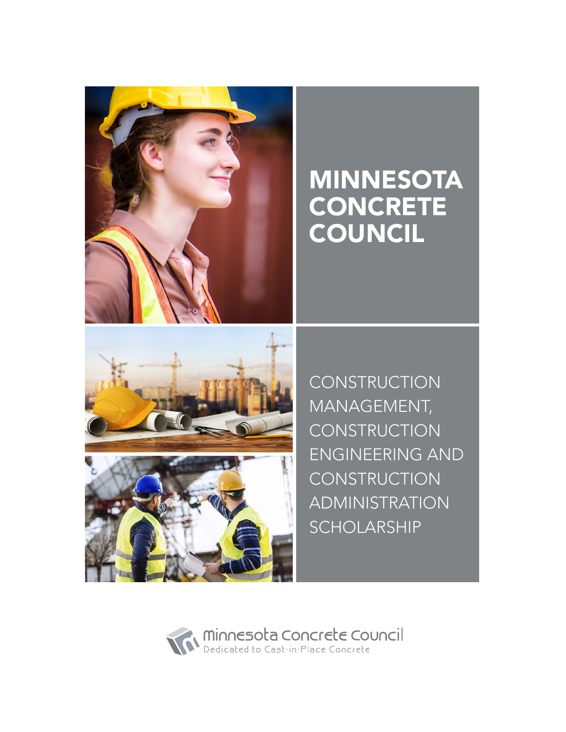

# MINNESOTA **CONCRETE** COUNCIL



**CONSTRUCTION** MANAGEMENT, **CONSTRUCTION** ENGINEERING AND **CONSTRUCTION** ADMINISTRATION SCHOLARSHIP

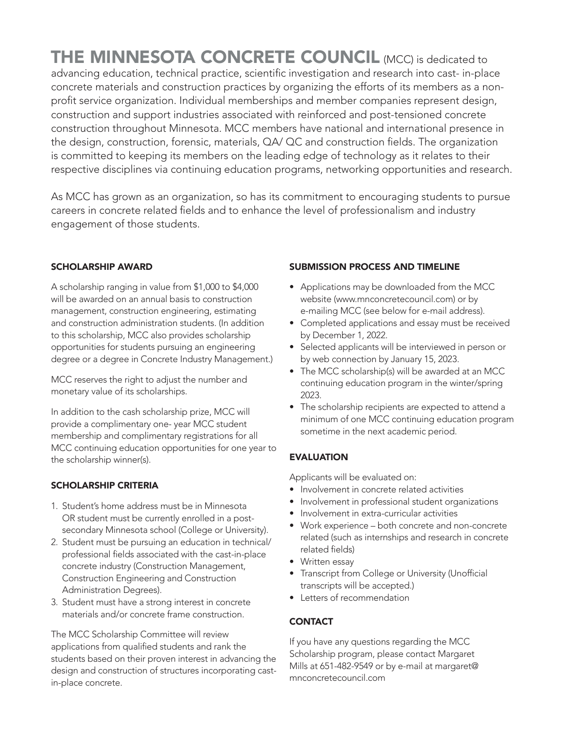THE MINNESOTA CONCRETE COUNCIL (MCC) is dedicated to advancing education, technical practice, scientific investigation and research into cast- in-place concrete materials and construction practices by organizing the efforts of its members as a nonprofit service organization. Individual memberships and member companies represent design, construction and support industries associated with reinforced and post-tensioned concrete construction throughout Minnesota. MCC members have national and international presence in the design, construction, forensic, materials, QA/ QC and construction fields. The organization is committed to keeping its members on the leading edge of technology as it relates to their respective disciplines via continuing education programs, networking opportunities and research.

As MCC has grown as an organization, so has its commitment to encouraging students to pursue careers in concrete related fields and to enhance the level of professionalism and industry engagement of those students.

#### SCHOLARSHIP AWARD

A scholarship ranging in value from \$1,000 to \$4,000 will be awarded on an annual basis to construction management, construction engineering, estimating and construction administration students. (In addition to this scholarship, MCC also provides scholarship opportunities for students pursuing an engineering degree or a degree in Concrete Industry Management.)

MCC reserves the right to adjust the number and monetary value of its scholarships.

In addition to the cash scholarship prize, MCC will provide a complimentary one- year MCC student membership and complimentary registrations for all MCC continuing education opportunities for one year to the scholarship winner(s).

#### SCHOLARSHIP CRITERIA

- 1. Student's home address must be in Minnesota OR student must be currently enrolled in a postsecondary Minnesota school (College or University).
- 2. Student must be pursuing an education in technical/ professional fields associated with the cast-in-place concrete industry (Construction Management, Construction Engineering and Construction Administration Degrees).
- 3. Student must have a strong interest in concrete materials and/or concrete frame construction.

The MCC Scholarship Committee will review applications from qualified students and rank the students based on their proven interest in advancing the design and construction of structures incorporating castin-place concrete.

#### SUBMISSION PROCESS AND TIMELINE

- Applications may be downloaded from the MCC website (www.mnconcretecouncil.com) or by e-mailing MCC (see below for e-mail address).
- Completed applications and essay must be received by December 1, 2022.
- Selected applicants will be interviewed in person or by web connection by January 15, 2023.
- The MCC scholarship(s) will be awarded at an MCC continuing education program in the winter/spring 2023.
- The scholarship recipients are expected to attend a minimum of one MCC continuing education program sometime in the next academic period.

#### **EVALUATION**

Applicants will be evaluated on:

- Involvement in concrete related activities
- Involvement in professional student organizations
- Involvement in extra-curricular activities
- Work experience both concrete and non-concrete related (such as internships and research in concrete related fields)
- Written essay
- Transcript from College or University (Unofficial transcripts will be accepted.)
- Letters of recommendation

#### **CONTACT**

If you have any questions regarding the MCC Scholarship program, please contact Margaret Mills at 651-482-9549 or by e-mail at margaret@ mnconcretecouncil.com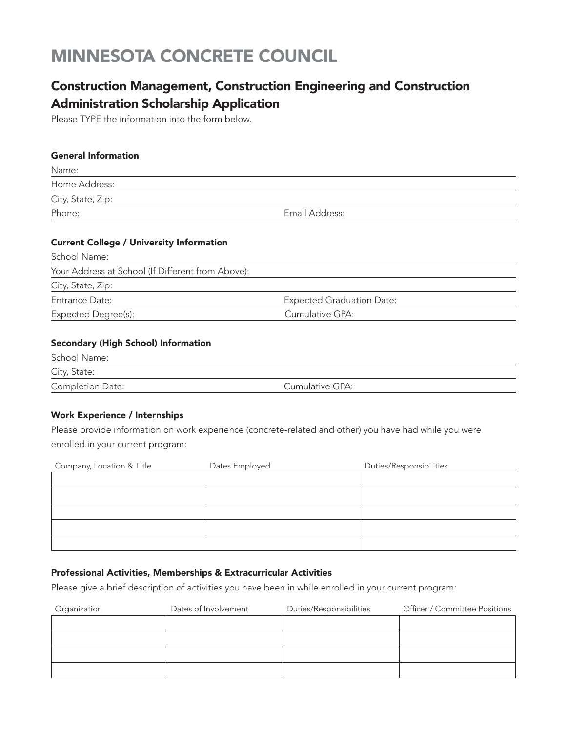# MINNESOTA CONCRETE COUNCIL

### Construction Management, Construction Engineering and Construction Administration Scholarship Application

Please TYPE the information into the form below.

#### General Information

| Name:             |                |
|-------------------|----------------|
| Home Address:     |                |
| City, State, Zip: |                |
| Phone:            | Email Address: |

#### Current College / University Information

| School Name:                                      |                                  |
|---------------------------------------------------|----------------------------------|
| Your Address at School (If Different from Above): |                                  |
| City, State, Zip:                                 |                                  |
| Entrance Date:                                    | <b>Expected Graduation Date:</b> |
| Expected Degree(s):                               | Cumulative GPA:                  |

#### Secondary (High School) Information

| School Name:     |                 |  |
|------------------|-----------------|--|
| City, State:     |                 |  |
| Completion Date: | Cumulative GPA: |  |

#### Work Experience / Internships

Please provide information on work experience (concrete-related and other) you have had while you were enrolled in your current program:

| Company, Location & Title | Dates Employed | Duties/Responsibilities |
|---------------------------|----------------|-------------------------|
|                           |                |                         |
|                           |                |                         |
|                           |                |                         |
|                           |                |                         |
|                           |                |                         |

#### Professional Activities, Memberships & Extracurricular Activities

Please give a brief description of activities you have been in while enrolled in your current program:

| Organization | Dates of Involvement | Duties/Responsibilities | Officer / Committee Positions |
|--------------|----------------------|-------------------------|-------------------------------|
|              |                      |                         |                               |
|              |                      |                         |                               |
|              |                      |                         |                               |
|              |                      |                         |                               |